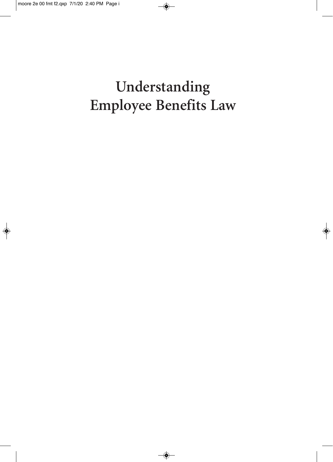# Understanding **Employee Benefits Law**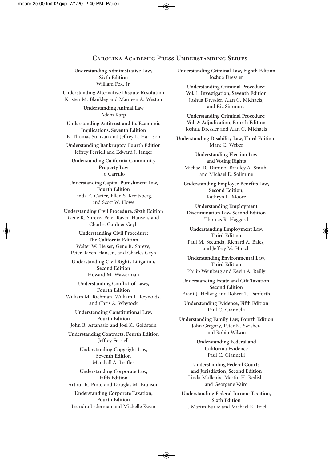#### **Carolina Academic Press Understanding Series**

**Understanding Administrative Law**, **Sixth Edition** William Fox, Jr.

**Understanding Alternative Dispute Resolution** Kristen M. Blankley and Maureen A. Weston

> **Understanding Animal Law** Adam Karp

**Understanding Antitrust and Its Economic Implications, Seventh Edition** E. Thomas Sullivan and Jeffrey L. Harrison

**Understanding Bankruptcy, Fourth Edition**

Jeffrey Ferriell and Edward J. Janger

**Understanding California Community Property Law**  Jo Carrillo

**Understanding Capital Punishment Law, Fourth Edition**  Linda E. Carter, Ellen S. Kreitzberg, and Scott W. Howe

**Understanding Civil Procedure, Sixth Edition** Gene R. Shreve, Peter Raven-Hansen, and Charles Gardner Geyh

**Understanding Civil Procedure: The California Edition** Walter W. Heiser, Gene R. Shreve, Peter Raven-Hansen, and Charles Geyh

**Understanding Civil Rights Litigation, Second Edition** Howard M. Wasserman

**Understanding Conflict of Laws, Fourth Edition**

William M. Richman, William L. Reynolds, and Chris A. Whytock

**Understanding Constitutional Law, Fourth Edition**

John B. Attanasio and Joel K. Goldstein

**Understanding Contracts, Fourth Edition** Jeffrey Ferriell

> **Understanding Copyright Law, Seventh Edition** Marshall A. Leaffer

**Understanding Corporate Law, Fifth Edition** Arthur R. Pinto and Douglas M. Branson

**Understanding Corporate Taxation, Fourth Edition** Leandra Lederman and Michelle Kwon **Understanding Criminal Law, Eighth Edition** Joshua Dressler

**Understanding Criminal Procedure: Vol. 1: Investigation, Seventh Edition** Joshua Dressler, Alan C. Michaels, and Ric Simmons

**Understanding Criminal Procedure: Vol. 2: Adjudication, Fourth Edition** Joshua Dressler and Alan C. Michaels

**Understanding Disability Law, Third Edition-**Mark C. Weber

**Understanding Election Law and Voting Rights** Michael R. Dimino, Bradley A. Smith, and Michael E. Solimine

**Understanding Employee Benefits Law, Second Edition,** Kathryn L. Moore

**Understanding Employment Discrimination Law, Second Edition** Thomas R. Haggard

**Understanding Employment Law, Third Edition** 

Paul M. Secunda, Richard A. Bales, and Jeffrey M. Hirsch

**Understanding Environmental Law, Third Edition** Philip Weinberg and Kevin A. Reilly

**Understanding Estate and Gift Taxation, Second Edition** 

Brant J. Hellwig and Robert T. Danforth

**Understanding Evidence, Fifth Edition**  Paul C. Giannelli

**Understanding Family Law, Fourth Edition** John Gregory, Peter N. Swisher, and Robin Wilson

> **Understanding Federal and California Evidence**  Paul C. Giannelli

**Understanding Federal Courts and Jurisdiction, Second Edition**  Linda Mullenix, Martin H. Redish, and Georgene Vairo

**Understanding Federal Income Taxation, Sixth Edition**  J. Martin Burke and Michael K. Friel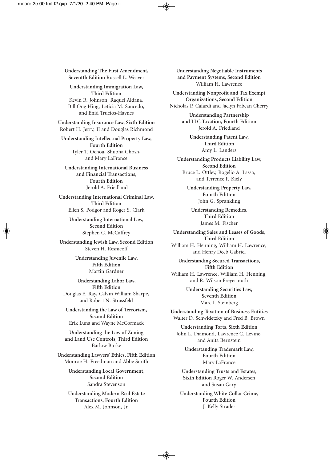**Understanding The First Amendment, Seventth Edition** Russell L. Weaver

**Understanding Immigration Law, Third Edition** Kevin R. Johnson, Raquel Aldana, Bill Ong Hing, Leticia M. Saucedo, and Enid Trucios-Haynes

**Understanding Insurance Law, Sixth Edition** Robert H. Jerry, II and Douglas Richmond

**Understanding Intellectual Property Law, Fourth Edition** Tyler T. Ochoa, Shubha Ghosh, and Mary LaFrance

**Understanding International Business and Financial Transactions, Fourth Edition** Jerold A. Friedland

**Understanding International Criminal Law, Third Edition** Ellen S. Podgor and Roger S. Clark

> **Understanding International Law, Second Edition** Stephen C. McCaffrey

**Understanding Jewish Law, Second Edition** Steven H. Resnicoff

> **Understanding Juvenile Law, Fifth Edition** Martin Gardner

**Understanding Labor Law, Fifth Edition**  Douglas E. Ray, Calvin William Sharpe, and Robert N. Strassfeld

**Understanding the Law of Terrorism, Second Edition** Erik Luna and Wayne McCormack

**Understanding the Law of Zoning and Land Use Controls, Third Edition** Barlow Burke

**Understanding Lawyers' Ethics, Fifth Edition** Monroe H. Freedman and Abbe Smith

> **Understanding Local Government, Second Edition** Sandra Stevenson

**Understanding Modern Real Estate Transactions, Fourth Edition**  Alex M. Johnson, Jr.

**Understanding Negotiable Instruments and Payment Systems, Second Edition** William H. Lawrence

**Understanding Nonprofit and Tax Exempt Organizations, Second Edition** Nicholas P. Cafardi and Jaclyn Fabean Cherry

> **Understanding Partnership and LLC Taxation, Fourth Edition**  Jerold A. Friedland

**Understanding Patent Law, Third Edition** Amy L. Landers

**Understanding Products Liability Law, Second Edition** Bruce L. Ottley, Rogelio A. Lasso,

and Terrence F. Kiely

**Understanding Property Law, Fourth Edition** John G. Sprankling

**Understanding Remedies, Third Edition** James M. Fischer

**Understanding Sales and Leases of Goods, Third Edition** William H. Henning, William H. Lawrence, and Henry Deeb Gabriel

**Understanding Secured Transactions, Fifth Edition** William H. Lawrence, William H. Henning, and R. Wilson Freyermuth

> **Understanding Securities Law, Seventh Edition** Marc I. Steinberg

**Understanding Taxation of Business Entities** Walter D. Schwidetzky and Fred B. Brown

**Understanding Torts, Sixth Edition** John L. Diamond, Lawrence C. Levine, and Anita Bernstein

**Understanding Trademark Law, Fourth Edition**  Mary LaFrance

**Understanding Trusts and Estates, Sixth Edition** Roger W. Andersen and Susan Gary

**Understanding White Collar Crime, Fourth Edition** J. Kelly Strader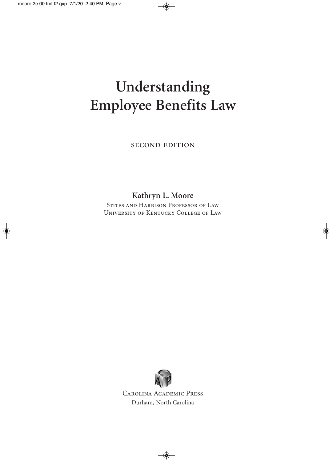## **Understanding Employee Benefits Law**

second edition

**Kathryn L. Moore**

Stites and Harbison Professor of Law University of Kentucky College of Law



Carolina Academic Press Durham, North Carolina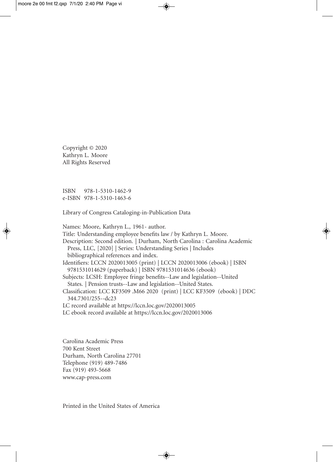Copyright © 2020 Kathryn L. Moore All Rights Reserved

ISBN 978-1-5310-1462-9 e-ISBN 978-1-5310-1463-6

Library of Congress Cataloging-in-Publication Data

Names: Moore, Kathryn L., 1961- author. Title: Understanding employee benefits law / by Kathryn L. Moore. Description: Second edition. | Durham, North Carolina : Carolina Academic Press, LLC, [2020] | Series: Understanding Series | Includes bibliographical references and index. Identifiers: LCCN 2020013005 (print) | LCCN 2020013006 (ebook) | ISBN 9781531014629 (paperback) | ISBN 9781531014636 (ebook) Subjects: LCSH: Employee fringe benefits--Law and legislation--United States. | Pension trusts--Law and legislation--United States. Classification: LCC KF3509 .M66 2020 (print) | LCC KF3509 (ebook) | DDC 344.7301/255--dc23 LC record available at https://lccn.loc.gov/2020013005 LC ebook record available at https://lccn.loc.gov/2020013006

Carolina Academic Press 700 Kent Street Durham, North Carolina 27701 Telephone (919) 489-7486 Fax (919) 493-5668 www.cap-press.com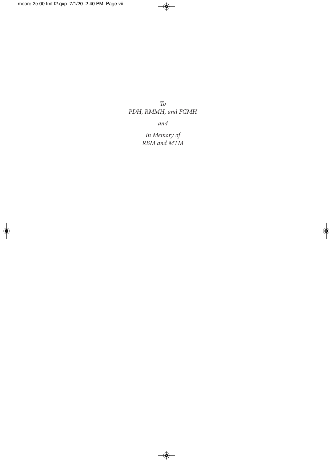$T<sub>0</sub>$ PDH, RMMH, and FGMH

and

In Memory of RBM and MTM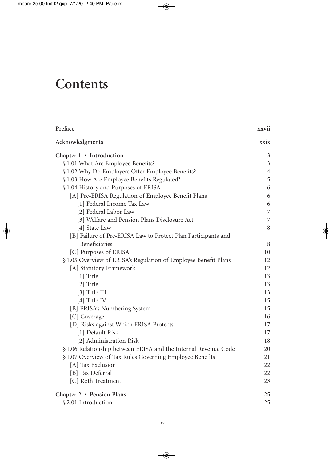## **Contents**

| Preface                                                        | xxvii          |
|----------------------------------------------------------------|----------------|
| Acknowledgments                                                | xxix           |
| Chapter 1 • Introduction                                       | 3              |
| §1.01 What Are Employee Benefits?                              | $\mathfrak{Z}$ |
| §1.02 Why Do Employers Offer Employee Benefits?                | $\overline{4}$ |
| §1.03 How Are Employee Benefits Regulated?                     | 5              |
| §1.04 History and Purposes of ERISA                            | 6              |
| [A] Pre-ERISA Regulation of Employee Benefit Plans             | 6              |
| [1] Federal Income Tax Law                                     | 6              |
| [2] Federal Labor Law                                          | 7              |
| [3] Welfare and Pension Plans Disclosure Act                   | $\overline{7}$ |
| [4] State Law                                                  | 8              |
| [B] Failure of Pre-ERISA Law to Protect Plan Participants and  |                |
| <b>Beneficiaries</b>                                           | 8              |
| [C] Purposes of ERISA                                          | 10             |
| §1.05 Overview of ERISA's Regulation of Employee Benefit Plans | 12             |
| [A] Statutory Framework                                        | 12             |
| $\lceil 1 \rceil$ Title I                                      | 13             |
| [2] Title II                                                   | 13             |
| [3] Title III                                                  | 13             |
| [4] Title IV                                                   | 15             |
| [B] ERISA's Numbering System                                   | 15             |
| [C] Coverage                                                   | 16             |
| [D] Risks against Which ERISA Protects                         | 17             |
| [1] Default Risk                                               | 17             |
| [2] Administration Risk                                        | 18             |
| §1.06 Relationship between ERISA and the Internal Revenue Code | 20             |
| §1.07 Overview of Tax Rules Governing Employee Benefits        | 21             |
| [A] Tax Exclusion                                              | 22             |
| [B] Tax Deferral                                               | 22             |
| [C] Roth Treatment                                             | 23             |
| Chapter 2 · Pension Plans                                      | 25             |
| §2.01 Introduction                                             | 25             |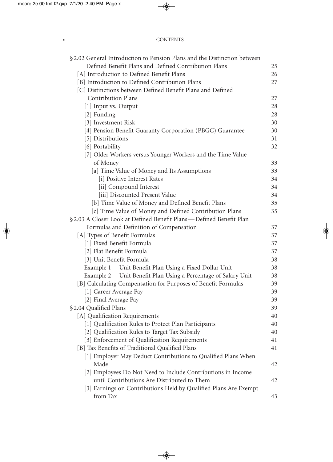| <b>CONTENTS</b> |
|-----------------|
|                 |

| §2.02 General Introduction to Pension Plans and the Distinction between |    |
|-------------------------------------------------------------------------|----|
| Defined Benefit Plans and Defined Contribution Plans                    | 25 |
| [A] Introduction to Defined Benefit Plans                               | 26 |
| [B] Introduction to Defined Contribution Plans                          | 27 |
| [C] Distinctions between Defined Benefit Plans and Defined              |    |
| <b>Contribution Plans</b>                                               | 27 |
| [1] Input vs. Output                                                    | 28 |
| [2] Funding                                                             | 28 |
| [3] Investment Risk                                                     | 30 |
| [4] Pension Benefit Guaranty Corporation (PBGC) Guarantee               | 30 |
| [5] Distributions                                                       | 31 |
| [6] Portability                                                         | 32 |
| [7] Older Workers versus Younger Workers and the Time Value             |    |
| of Money                                                                | 33 |
| [a] Time Value of Money and Its Assumptions                             | 33 |
| [i] Positive Interest Rates                                             | 34 |
| [ii] Compound Interest                                                  | 34 |
| [iii] Discounted Present Value                                          | 34 |
| [b] Time Value of Money and Defined Benefit Plans                       | 35 |
| [c] Time Value of Money and Defined Contribution Plans                  | 35 |
| § 2.03 A Closer Look at Defined Benefit Plans-Defined Benefit Plan      |    |
| Formulas and Definition of Compensation                                 | 37 |
| [A] Types of Benefit Formulas                                           | 37 |
| [1] Fixed Benefit Formula                                               | 37 |
| [2] Flat Benefit Formula                                                | 37 |
| [3] Unit Benefit Formula                                                | 38 |
| Example 1—Unit Benefit Plan Using a Fixed Dollar Unit                   | 38 |
| Example 2—Unit Benefit Plan Using a Percentage of Salary Unit           | 38 |
| [B] Calculating Compensation for Purposes of Benefit Formulas           | 39 |
| [1] Career Average Pay                                                  | 39 |
| [2] Final Average Pay                                                   | 39 |
| §2.04 Qualified Plans                                                   | 39 |
| [A] Qualification Requirements                                          | 40 |
| [1] Qualification Rules to Protect Plan Participants                    | 40 |
| [2] Qualification Rules to Target Tax Subsidy                           | 40 |
| [3] Enforcement of Qualification Requirements                           | 41 |
| [B] Tax Benefits of Traditional Qualified Plans                         | 41 |
| [1] Employer May Deduct Contributions to Qualified Plans When           |    |
| Made                                                                    | 42 |
| [2] Employees Do Not Need to Include Contributions in Income            |    |
| until Contributions Are Distributed to Them                             | 42 |
| [3] Earnings on Contributions Held by Qualified Plans Are Exempt        |    |
| from Tax                                                                | 43 |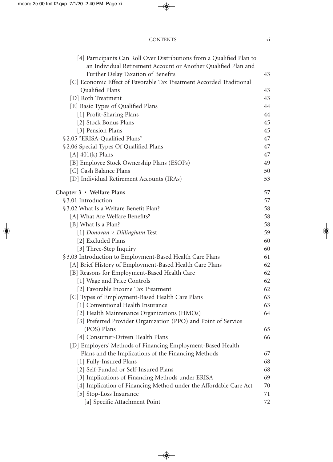| [4] Participants Can Roll Over Distributions from a Qualified Plan to |    |
|-----------------------------------------------------------------------|----|
| an Individual Retirement Account or Another Qualified Plan and        |    |
| Further Delay Taxation of Benefits                                    | 43 |
| [C] Economic Effect of Favorable Tax Treatment Accorded Traditional   |    |
| Qualified Plans                                                       | 43 |
| [D] Roth Treatment                                                    | 43 |
| [E] Basic Types of Qualified Plans                                    | 44 |
| [1] Profit-Sharing Plans                                              | 44 |
| [2] Stock Bonus Plans                                                 | 45 |
| [3] Pension Plans                                                     | 45 |
| § 2.05 "ERISA-Qualified Plans"                                        | 47 |
| § 2.06 Special Types Of Qualified Plans                               | 47 |
| $[A]$ 401 $(k)$ Plans                                                 | 47 |
| [B] Employee Stock Ownership Plans (ESOPs)                            | 49 |
| [C] Cash Balance Plans                                                | 50 |
| [D] Individual Retirement Accounts (IRAs)                             | 53 |
| Chapter 3 • Welfare Plans                                             | 57 |
| §3.01 Introduction                                                    | 57 |
| §3.02 What Is a Welfare Benefit Plan?                                 | 58 |
| [A] What Are Welfare Benefits?                                        | 58 |
| [B] What Is a Plan?                                                   | 58 |
| [1] Donovan v. Dillingham Test                                        | 59 |
| [2] Excluded Plans                                                    | 60 |
| [3] Three-Step Inquiry                                                | 60 |
| §3.03 Introduction to Employment-Based Health Care Plans              | 61 |
| [A] Brief History of Employment-Based Health Care Plans               | 62 |
| [B] Reasons for Employment-Based Health Care                          | 62 |
| [1] Wage and Price Controls                                           | 62 |
| [2] Favorable Income Tax Treatment                                    | 62 |
| [C] Types of Employment-Based Health Care Plans                       | 63 |
| [1] Conventional Health Insurance                                     | 63 |
| [2] Health Maintenance Organizations (HMOs)                           | 64 |
| [3] Preferred Provider Organization (PPO) and Point of Service        |    |
| (POS) Plans                                                           | 65 |
| [4] Consumer-Driven Health Plans                                      | 66 |
| [D] Employers' Methods of Financing Employment-Based Health           |    |
| Plans and the Implications of the Financing Methods                   | 67 |
| [1] Fully-Insured Plans                                               | 68 |
| [2] Self-Funded or Self-Insured Plans                                 | 68 |
| [3] Implications of Financing Methods under ERISA                     | 69 |
| [4] Implication of Financing Method under the Affordable Care Act     | 70 |
| [5] Stop-Loss Insurance                                               | 71 |
| [a] Specific Attachment Point                                         | 72 |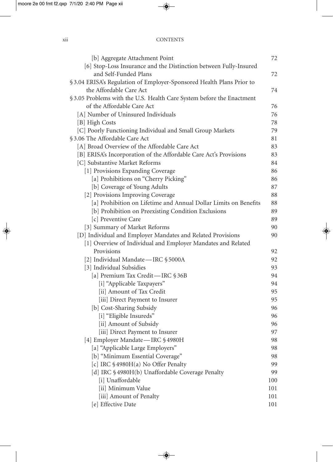| [b] Aggregate Attachment Point                                       | 72  |
|----------------------------------------------------------------------|-----|
| [6] Stop-Loss Insurance and the Distinction between Fully-Insured    |     |
| and Self-Funded Plans                                                | 72  |
| §3.04 ERISA's Regulation of Employer-Sponsored Health Plans Prior to |     |
| the Affordable Care Act                                              | 74  |
| §3.05 Problems with the U.S. Health Care System before the Enactment |     |
| of the Affordable Care Act                                           | 76  |
| [A] Number of Uninsured Individuals                                  | 76  |
| [B] High Costs                                                       | 78  |
| [C] Poorly Functioning Individual and Small Group Markets            | 79  |
| §3.06 The Affordable Care Act                                        | 81  |
| [A] Broad Overview of the Affordable Care Act                        | 83  |
| [B] ERISA's Incorporation of the Affordable Care Act's Provisions    | 83  |
| [C] Substantive Market Reforms                                       | 84  |
| [1] Provisions Expanding Coverage                                    | 86  |
| [a] Prohibitions on "Cherry Picking"                                 | 86  |
| [b] Coverage of Young Adults                                         | 87  |
| [2] Provisions Improving Coverage                                    | 88  |
| [a] Prohibition on Lifetime and Annual Dollar Limits on Benefits     | 88  |
| [b] Prohibition on Preexisting Condition Exclusions                  | 89  |
| [c] Preventive Care                                                  | 89  |
| [3] Summary of Market Reforms                                        | 90  |
| [D] Individual and Employer Mandates and Related Provisions          | 90  |
| [1] Overview of Individual and Employer Mandates and Related         |     |
| Provisions                                                           | 92  |
| [2] Individual Mandate - IRC § 5000A                                 | 92  |
| [3] Individual Subsidies                                             | 93  |
| [a] Premium Tax Credit—IRC § 36B                                     | 94  |
| [i] "Applicable Taxpayers"                                           | 94  |
| [ii] Amount of Tax Credit                                            | 95  |
| [iii] Direct Payment to Insurer                                      | 95  |
| [b] Cost-Sharing Subsidy                                             | 96  |
| [i] "Eligible Insureds"                                              | 96  |
| [ii] Amount of Subsidy                                               | 96  |
| [iii] Direct Payment to Insurer                                      | 97  |
| [4] Employer Mandate-IRC § 4980H                                     | 98  |
| [a] "Applicable Large Employers"                                     | 98  |
| [b] "Minimum Essential Coverage"                                     | 98  |
| [c] IRC §4980H(a) No Offer Penalty                                   | 99  |
| [d] IRC §4980H(b) Unaffordable Coverage Penalty                      | 99  |
| [i] Unaffordable                                                     | 100 |
| [ii] Minimum Value                                                   | 101 |
| [iii] Amount of Penalty                                              | 101 |
| [e] Effective Date                                                   | 101 |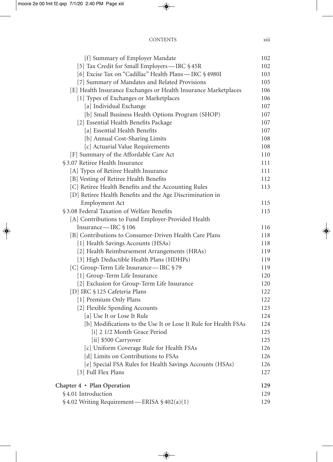| [f] Summary of Employer Mandate                                 | 102 |
|-----------------------------------------------------------------|-----|
| [5] Tax Credit for Small Employers - IRC § 45R                  | 102 |
| [6] Excise Tax on "Cadillac" Health Plans-IRC §4980I            | 103 |
| [7] Summary of Mandates and Related Provisions                  | 105 |
| [E] Health Insurance Exchanges or Health Insurance Marketplaces | 106 |
| [1] Types of Exchanges or Marketplaces                          | 106 |
| [a] Individual Exchange                                         | 107 |
| [b] Small Business Health Options Program (SHOP)                | 107 |
| [2] Essential Health Benefits Package                           | 107 |
| [a] Essential Health Benefits                                   | 107 |
| [b] Annual Cost-Sharing Limits                                  | 108 |
| [c] Actuarial Value Requirements                                | 108 |
| [F] Summary of the Affordable Care Act                          | 110 |
| § 3.07 Retiree Health Insurance                                 | 111 |
| [A] Types of Retiree Health Insurance                           | 111 |
| [B] Vesting of Retiree Health Benefits                          | 112 |
| [C] Retiree Health Benefits and the Accounting Rules            | 113 |
| [D] Retiree Health Benefits and the Age Discrimination in       |     |
| <b>Employment Act</b>                                           | 115 |
| § 3.08 Federal Taxation of Welfare Benefits                     | 115 |
| [A] Contributions to Fund Employer-Provided Health              |     |
| Insurance-IRC §106                                              | 116 |
| [B] Contributions to Consumer-Driven Health Care Plans          | 118 |
| [1] Health Savings Accounts (HSAs)                              | 118 |
| [2] Health Reimbursement Arrangements (HRAs)                    | 119 |
| [3] High Deductible Health Plans (HDHPs)                        | 119 |
| [C] Group-Term Life Insurance-IRC §79                           | 119 |
| [1] Group-Term Life Insurance                                   | 120 |
| [2] Exclusion for Group-Term Life Insurance                     | 120 |
| [D] IRC § 125 Cafeteria Plans                                   | 122 |
| [1] Premium Only Plans                                          | 122 |
| [2] Flexible Spending Accounts                                  | 123 |
| [a] Use It or Lose It Rule                                      | 124 |
| [b] Modifications to the Use It or Lose It Rule for Health FSAs | 124 |
| [i] 2 1/2 Month Grace Period                                    | 125 |
| [ii] \$500 Carryover                                            | 125 |
| [c] Uniform Coverage Rule for Health FSAs                       | 126 |
| [d] Limits on Contributions to FSAs                             | 126 |
| [e] Special FSA Rules for Health Savings Accounts (HSAs)        | 126 |
| [3] Full Flex Plans                                             | 127 |
| Chapter 4 • Plan Operation                                      | 129 |
| §4.01 Introduction                                              | 129 |
| §4.02 Writing Requirement—ERISA §402(a)(1)                      | 129 |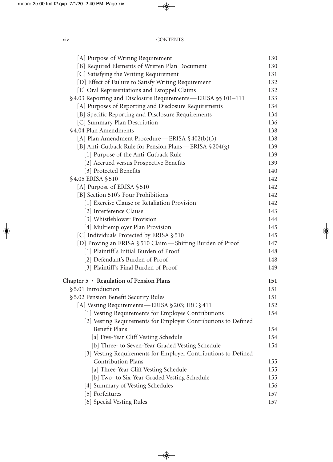| [A] Purpose of Writing Requirement                             | 130 |
|----------------------------------------------------------------|-----|
| [B] Required Elements of Written Plan Document                 | 130 |
| [C] Satisfying the Writing Requirement                         | 131 |
| [D] Effect of Failure to Satisfy Writing Requirement           | 132 |
| [E] Oral Representations and Estoppel Claims                   | 132 |
| §4.03 Reporting and Disclosure Requirements-ERISA §§101-111    | 133 |
| [A] Purposes of Reporting and Disclosure Requirements          | 134 |
| [B] Specific Reporting and Disclosure Requirements             | 134 |
| [C] Summary Plan Description                                   | 136 |
| §4.04 Plan Amendments                                          | 138 |
| [A] Plan Amendment Procedure—ERISA §402(b)(3)                  | 138 |
| [B] Anti-Cutback Rule for Pension Plans—ERISA § 204(g)         | 139 |
| [1] Purpose of the Anti-Cutback Rule                           | 139 |
| [2] Accrued versus Prospective Benefits                        | 139 |
| [3] Protected Benefits                                         | 140 |
| §4.05 ERISA §510                                               | 142 |
| [A] Purpose of ERISA § 510                                     | 142 |
| [B] Section 510's Four Prohibitions                            | 142 |
| [1] Exercise Clause or Retaliation Provision                   | 142 |
| [2] Interference Clause                                        | 143 |
| [3] Whistleblower Provision                                    | 144 |
| [4] Multiemployer Plan Provision                               | 145 |
| [C] Individuals Protected by ERISA § 510                       | 145 |
| [D] Proving an ERISA § 510 Claim - Shifting Burden of Proof    | 147 |
| [1] Plaintiff's Initial Burden of Proof                        | 148 |
| [2] Defendant's Burden of Proof                                | 148 |
| [3] Plaintiff's Final Burden of Proof                          | 149 |
| Chapter 5 • Regulation of Pension Plans                        | 151 |
| §5.01 Introduction                                             | 151 |
| § 5.02 Pension Benefit Security Rules                          | 151 |
| [A] Vesting Requirements-ERISA § 203; IRC § 411                | 152 |
| [1] Vesting Requirements for Employee Contributions            | 154 |
| [2] Vesting Requirements for Employer Contributions to Defined |     |
| <b>Benefit Plans</b>                                           | 154 |
| [a] Five-Year Cliff Vesting Schedule                           | 154 |
| [b] Three- to Seven-Year Graded Vesting Schedule               | 154 |
| [3] Vesting Requirements for Employer Contributions to Defined |     |
| <b>Contribution Plans</b>                                      | 155 |
| [a] Three-Year Cliff Vesting Schedule                          | 155 |
| [b] Two- to Six-Year Graded Vesting Schedule                   | 155 |
| [4] Summary of Vesting Schedules                               | 156 |
| [5] Forfeitures                                                | 157 |
| [6] Special Vesting Rules                                      | 157 |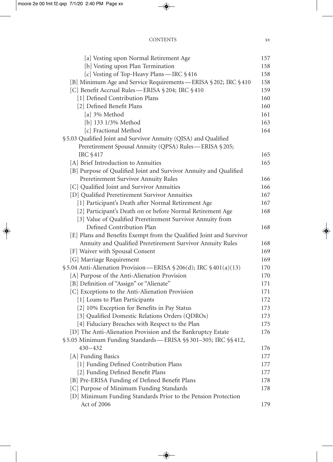| [a] Vesting upon Normal Retirement Age                              | 157 |
|---------------------------------------------------------------------|-----|
| [b] Vesting upon Plan Termination                                   | 158 |
| [c] Vesting of Top-Heavy Plans—IRC §416                             | 158 |
| [B] Minimum Age and Service Requirements—ERISA §202; IRC §410       | 158 |
| [C] Benefit Accrual Rules-ERISA § 204; IRC § 410                    | 159 |
| [1] Defined Contribution Plans                                      | 160 |
| [2] Defined Benefit Plans                                           | 160 |
| [a] 3% Method                                                       | 161 |
| [b] 133 1/3% Method                                                 | 163 |
| [c] Fractional Method                                               | 164 |
| §5.03 Qualified Joint and Survivor Annuity (QJSA) and Qualified     |     |
| Preretirement Spousal Annuity (QPSA) Rules-ERISA §205;              |     |
| <b>IRC §417</b>                                                     | 165 |
| [A] Brief Introduction to Annuities                                 | 165 |
| [B] Purpose of Qualified Joint and Survivor Annuity and Qualified   |     |
| Preretirement Survivor Annuity Rules                                | 166 |
| [C] Qualified Joint and Survivor Annuities                          | 166 |
| [D] Qualified Preretirement Survivor Annuities                      | 167 |
| [1] Participant's Death after Normal Retirement Age                 | 167 |
| [2] Participant's Death on or before Normal Retirement Age          | 168 |
| [3] Value of Qualified Preretirement Survivor Annuity from          |     |
| Defined Contribution Plan                                           | 168 |
| [E] Plans and Benefits Exempt from the Qualified Joint and Survivor |     |
| Annuity and Qualified Preretirement Survivor Annuity Rules          | 168 |
| [F] Waiver with Spousal Consent                                     | 169 |
| [G] Marriage Requirement                                            | 169 |
| § 5.04 Anti-Alienation Provision - ERISA § 206(d); IRC § 401(a)(13) | 170 |
| [A] Purpose of the Anti-Alienation Provision                        | 170 |
| [B] Definition of "Assign" or "Alienate"                            | 171 |
| [C] Exceptions to the Anti-Alienation Provision                     | 171 |
| [1] Loans to Plan Participants                                      | 172 |
| [2] 10% Exception for Benefits in Pay Status                        | 173 |
| [3] Qualified Domestic Relations Orders (QDROs)                     | 173 |
| [4] Fiduciary Breaches with Respect to the Plan                     | 175 |
| [D] The Anti-Alienation Provision and the Bankruptcy Estate         | 176 |
| § 5.05 Minimum Funding Standards—ERISA §§ 301-305; IRC §§ 412,      |     |
| $430 - 432$                                                         | 176 |
| [A] Funding Basics                                                  | 177 |
| [1] Funding Defined Contribution Plans                              | 177 |
| [2] Funding Defined Benefit Plans                                   | 177 |
| [B] Pre-ERISA Funding of Defined Benefit Plans                      | 178 |
| [C] Purpose of Minimum Funding Standards                            | 178 |
| [D] Minimum Funding Standards Prior to the Pension Protection       |     |
| Act of 2006                                                         | 179 |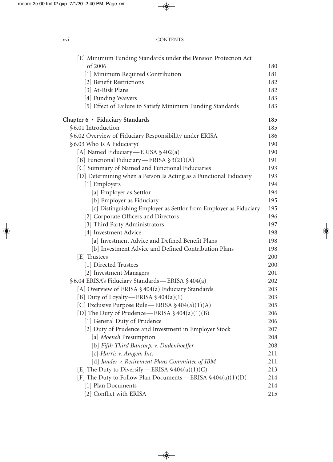|  | XV1 | <b>CONTENTS</b> |
|--|-----|-----------------|
|--|-----|-----------------|

| [E] Minimum Funding Standards under the Pension Protection Act    |     |
|-------------------------------------------------------------------|-----|
| of 2006                                                           | 180 |
| [1] Minimum Required Contribution                                 | 181 |
| [2] Benefit Restrictions                                          | 182 |
| [3] At-Risk Plans                                                 | 182 |
| [4] Funding Waivers                                               | 183 |
| [5] Effect of Failure to Satisfy Minimum Funding Standards        | 183 |
| Chapter 6 · Fiduciary Standards                                   | 185 |
| § 6.01 Introduction                                               | 185 |
| § 6.02 Overview of Fiduciary Responsibility under ERISA           | 186 |
| § 6.03 Who Is A Fiduciary?                                        | 190 |
| [A] Named Fiduciary—ERISA §402(a)                                 | 190 |
| [B] Functional Fiduciary—ERISA §3(21)(A)                          | 191 |
| [C] Summary of Named and Functional Fiduciaries                   | 193 |
| [D] Determining when a Person Is Acting as a Functional Fiduciary | 193 |
| [1] Employers                                                     | 194 |
| [a] Employer as Settlor                                           | 194 |
| [b] Employer as Fiduciary                                         | 195 |
| [c] Distinguishing Employer as Settlor from Employer as Fiduciary | 195 |
| [2] Corporate Officers and Directors                              | 196 |
| [3] Third Party Administrators                                    | 197 |
| [4] Investment Advice                                             | 198 |
| [a] Investment Advice and Defined Benefit Plans                   | 198 |
| [b] Investment Advice and Defined Contribution Plans              | 198 |
| [E] Trustees                                                      | 200 |
| [1] Directed Trustees                                             | 200 |
| [2] Investment Managers                                           | 201 |
| § 6.04 ERISA's Fiduciary Standards - ERISA § 404(a)               | 202 |
| [A] Overview of ERISA §404(a) Fiduciary Standards                 | 203 |
| [B] Duty of Loyalty-ERISA §404(a)(1)                              | 203 |
| [C] Exclusive Purpose Rule-ERISA §404(a)(1)(A)                    | 205 |
| [D] The Duty of Prudence—ERISA $\frac{6}{9}$ 404(a)(1)(B)         | 206 |
| [1] General Duty of Prudence                                      | 206 |
| [2] Duty of Prudence and Investment in Employer Stock             | 207 |
| [a] Moench Presumption                                            | 208 |
| [b] Fifth Third Bancorp. v. Dudenhoeffer                          | 208 |
| [c] Harris v. Amgen, Inc.                                         | 211 |
| [d] Jander v. Retirement Plans Committee of IBM                   | 211 |
| [E] The Duty to Diversify - ERISA $$404(a)(1)(C)$                 | 213 |
| [F] The Duty to Follow Plan Documents - ERISA $\$404(a)(1)(D)$    | 214 |
| [1] Plan Documents                                                | 214 |
| [2] Conflict with ERISA                                           | 215 |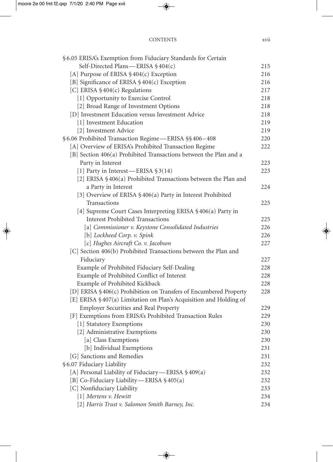#### CONTENTS xvii

| § 6.05 ERISA's Exemption from Fiduciary Standards for Certain     |     |
|-------------------------------------------------------------------|-----|
| Self-Directed Plans—ERISA §404(c)                                 | 215 |
| [A] Purpose of ERISA § 404(c) Exception                           | 216 |
| [B] Significance of ERISA §404(c) Exception                       | 216 |
| [C] ERISA §404(c) Regulations                                     | 217 |
| [1] Opportunity to Exercise Control                               | 218 |
| [2] Broad Range of Investment Options                             | 218 |
| [D] Investment Education versus Investment Advice                 | 218 |
| [1] Investment Education                                          | 219 |
| [2] Investment Advice                                             | 219 |
| § 6.06 Prohibited Transaction Regime - ERISA § § 406-408          | 220 |
| [A] Overview of ERISA's Prohibited Transaction Regime             | 222 |
| [B] Section 406(a) Prohibited Transactions between the Plan and a |     |
| Party in Interest                                                 | 223 |
| [1] Party in Interest—ERISA $$3(14)$                              | 223 |
| [2] ERISA §406(a) Prohibited Transactions between the Plan and    |     |
| a Party in Interest                                               | 224 |
| [3] Overview of ERISA §406(a) Party in Interest Prohibited        |     |
| Transactions                                                      | 225 |
| [4] Supreme Court Cases Interpreting ERISA §406(a) Party in       |     |
| <b>Interest Prohibited Transactions</b>                           | 225 |
| [a] Commissioner v. Keystone Consolidated Industries              | 226 |
| [b] Lockheed Corp. v. Spink                                       | 226 |
| [c] Hughes Aircraft Co. v. Jacobson                               | 227 |
| [C] Section 406(b) Prohibited Transactions between the Plan and   |     |
| Fiduciary                                                         | 227 |
| Example of Prohibited Fiduciary Self-Dealing                      | 228 |
| Example of Prohibited Conflict of Interest                        | 228 |
| Example of Prohibited Kickback                                    | 228 |
| [D] ERISA §406(c) Prohibition on Transfers of Encumbered Property | 228 |
| [E] ERISA §407(a) Limitation on Plan's Acquisition and Holding of |     |
| Employer Securities and Real Property                             | 229 |
| [F] Exemptions from ERISA's Prohibited Transaction Rules          | 229 |
| [1] Statutory Exemptions                                          | 230 |
| [2] Administrative Exemptions                                     | 230 |
| [a] Class Exemptions                                              | 230 |
| [b] Individual Exemptions                                         | 231 |
| [G] Sanctions and Remedies                                        | 231 |
| § 6.07 Fiduciary Liability                                        | 232 |
| [A] Personal Liability of Fiduciary—ERISA §409(a)                 | 232 |
| [B] Co-Fiduciary Liability — ERISA §405(a)                        | 232 |
| [C] Nonfiduciary Liability                                        | 233 |
| [1] Mertens v. Hewitt                                             | 234 |
| [2] Harris Trust v. Salomon Smith Barney, Inc.                    | 234 |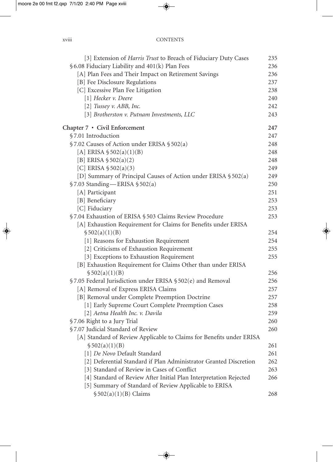| § 6.08 Fiduciary Liability and 401(k) Plan Fees<br>[A] Plan Fees and Their Impact on Retirement Savings<br>[B] Fee Disclosure Regulations<br>[C] Excessive Plan Fee Litigation<br>[1] Hecker v. Deere<br>[2] Tussey v. ABB, Inc.<br>[3] Brotherston v. Putnam Investments, LLC<br>Chapter 7 • Civil Enforcement<br>§7.01 Introduction<br>§7.02 Causes of Action under ERISA §502(a)<br>[A] ERISA $$502(a)(1)(B)$<br>[B] ERISA $$502(a)(2)$<br>[C] ERISA $$502(a)(3)$<br>[D] Summary of Principal Causes of Action under ERISA § 502(a)<br>§7.03 Standing-ERISA §502(a)<br>[A] Participant<br>[B] Beneficiary<br>[C] Fiduciary<br>§7.04 Exhaustion of ERISA §503 Claims Review Procedure<br>[A] Exhaustion Requirement for Claims for Benefits under ERISA<br>\$502(a)(1)(B)<br>[1] Reasons for Exhaustion Requirement<br>[2] Criticisms of Exhaustion Requirement<br>[3] Exceptions to Exhaustion Requirement<br>[B] Exhaustion Requirement for Claims Other than under ERISA | 236<br>236<br>237<br>238<br>240<br>242<br>243<br>247<br>247<br>248<br>248<br>248<br>249 |
|-------------------------------------------------------------------------------------------------------------------------------------------------------------------------------------------------------------------------------------------------------------------------------------------------------------------------------------------------------------------------------------------------------------------------------------------------------------------------------------------------------------------------------------------------------------------------------------------------------------------------------------------------------------------------------------------------------------------------------------------------------------------------------------------------------------------------------------------------------------------------------------------------------------------------------------------------------------------------------|-----------------------------------------------------------------------------------------|
|                                                                                                                                                                                                                                                                                                                                                                                                                                                                                                                                                                                                                                                                                                                                                                                                                                                                                                                                                                               |                                                                                         |
|                                                                                                                                                                                                                                                                                                                                                                                                                                                                                                                                                                                                                                                                                                                                                                                                                                                                                                                                                                               |                                                                                         |
|                                                                                                                                                                                                                                                                                                                                                                                                                                                                                                                                                                                                                                                                                                                                                                                                                                                                                                                                                                               |                                                                                         |
|                                                                                                                                                                                                                                                                                                                                                                                                                                                                                                                                                                                                                                                                                                                                                                                                                                                                                                                                                                               |                                                                                         |
|                                                                                                                                                                                                                                                                                                                                                                                                                                                                                                                                                                                                                                                                                                                                                                                                                                                                                                                                                                               |                                                                                         |
|                                                                                                                                                                                                                                                                                                                                                                                                                                                                                                                                                                                                                                                                                                                                                                                                                                                                                                                                                                               |                                                                                         |
|                                                                                                                                                                                                                                                                                                                                                                                                                                                                                                                                                                                                                                                                                                                                                                                                                                                                                                                                                                               |                                                                                         |
|                                                                                                                                                                                                                                                                                                                                                                                                                                                                                                                                                                                                                                                                                                                                                                                                                                                                                                                                                                               |                                                                                         |
|                                                                                                                                                                                                                                                                                                                                                                                                                                                                                                                                                                                                                                                                                                                                                                                                                                                                                                                                                                               |                                                                                         |
|                                                                                                                                                                                                                                                                                                                                                                                                                                                                                                                                                                                                                                                                                                                                                                                                                                                                                                                                                                               |                                                                                         |
|                                                                                                                                                                                                                                                                                                                                                                                                                                                                                                                                                                                                                                                                                                                                                                                                                                                                                                                                                                               |                                                                                         |
|                                                                                                                                                                                                                                                                                                                                                                                                                                                                                                                                                                                                                                                                                                                                                                                                                                                                                                                                                                               |                                                                                         |
|                                                                                                                                                                                                                                                                                                                                                                                                                                                                                                                                                                                                                                                                                                                                                                                                                                                                                                                                                                               |                                                                                         |
|                                                                                                                                                                                                                                                                                                                                                                                                                                                                                                                                                                                                                                                                                                                                                                                                                                                                                                                                                                               | 249                                                                                     |
|                                                                                                                                                                                                                                                                                                                                                                                                                                                                                                                                                                                                                                                                                                                                                                                                                                                                                                                                                                               | 250                                                                                     |
|                                                                                                                                                                                                                                                                                                                                                                                                                                                                                                                                                                                                                                                                                                                                                                                                                                                                                                                                                                               | 251                                                                                     |
|                                                                                                                                                                                                                                                                                                                                                                                                                                                                                                                                                                                                                                                                                                                                                                                                                                                                                                                                                                               | 253                                                                                     |
|                                                                                                                                                                                                                                                                                                                                                                                                                                                                                                                                                                                                                                                                                                                                                                                                                                                                                                                                                                               | 253                                                                                     |
|                                                                                                                                                                                                                                                                                                                                                                                                                                                                                                                                                                                                                                                                                                                                                                                                                                                                                                                                                                               | 253                                                                                     |
|                                                                                                                                                                                                                                                                                                                                                                                                                                                                                                                                                                                                                                                                                                                                                                                                                                                                                                                                                                               | 254                                                                                     |
|                                                                                                                                                                                                                                                                                                                                                                                                                                                                                                                                                                                                                                                                                                                                                                                                                                                                                                                                                                               | 254                                                                                     |
|                                                                                                                                                                                                                                                                                                                                                                                                                                                                                                                                                                                                                                                                                                                                                                                                                                                                                                                                                                               | 255                                                                                     |
|                                                                                                                                                                                                                                                                                                                                                                                                                                                                                                                                                                                                                                                                                                                                                                                                                                                                                                                                                                               | 255                                                                                     |
|                                                                                                                                                                                                                                                                                                                                                                                                                                                                                                                                                                                                                                                                                                                                                                                                                                                                                                                                                                               |                                                                                         |
| \$502(a)(1)(B)                                                                                                                                                                                                                                                                                                                                                                                                                                                                                                                                                                                                                                                                                                                                                                                                                                                                                                                                                                | 256                                                                                     |
| §7.05 Federal Jurisdiction under ERISA §502(e) and Removal                                                                                                                                                                                                                                                                                                                                                                                                                                                                                                                                                                                                                                                                                                                                                                                                                                                                                                                    | 256                                                                                     |
| [A] Removal of Express ERISA Claims                                                                                                                                                                                                                                                                                                                                                                                                                                                                                                                                                                                                                                                                                                                                                                                                                                                                                                                                           | 257                                                                                     |
| [B] Removal under Complete Preemption Doctrine                                                                                                                                                                                                                                                                                                                                                                                                                                                                                                                                                                                                                                                                                                                                                                                                                                                                                                                                | 257                                                                                     |
| [1] Early Supreme Court Complete Preemption Cases                                                                                                                                                                                                                                                                                                                                                                                                                                                                                                                                                                                                                                                                                                                                                                                                                                                                                                                             | 258                                                                                     |
| [2] Aetna Health Inc. v. Davila                                                                                                                                                                                                                                                                                                                                                                                                                                                                                                                                                                                                                                                                                                                                                                                                                                                                                                                                               | 259                                                                                     |
| §7.06 Right to a Jury Trial                                                                                                                                                                                                                                                                                                                                                                                                                                                                                                                                                                                                                                                                                                                                                                                                                                                                                                                                                   | 260                                                                                     |
| §7.07 Judicial Standard of Review                                                                                                                                                                                                                                                                                                                                                                                                                                                                                                                                                                                                                                                                                                                                                                                                                                                                                                                                             | 260                                                                                     |
| [A] Standard of Review Applicable to Claims for Benefits under ERISA                                                                                                                                                                                                                                                                                                                                                                                                                                                                                                                                                                                                                                                                                                                                                                                                                                                                                                          |                                                                                         |
| \$502(a)(1)(B)                                                                                                                                                                                                                                                                                                                                                                                                                                                                                                                                                                                                                                                                                                                                                                                                                                                                                                                                                                | 261                                                                                     |
| [1] De Novo Default Standard                                                                                                                                                                                                                                                                                                                                                                                                                                                                                                                                                                                                                                                                                                                                                                                                                                                                                                                                                  | 261                                                                                     |
| [2] Deferential Standard if Plan Administrator Granted Discretion                                                                                                                                                                                                                                                                                                                                                                                                                                                                                                                                                                                                                                                                                                                                                                                                                                                                                                             | 262                                                                                     |
| [3] Standard of Review in Cases of Conflict                                                                                                                                                                                                                                                                                                                                                                                                                                                                                                                                                                                                                                                                                                                                                                                                                                                                                                                                   | 263                                                                                     |
| [4] Standard of Review After Initial Plan Interpretation Rejected                                                                                                                                                                                                                                                                                                                                                                                                                                                                                                                                                                                                                                                                                                                                                                                                                                                                                                             | 266                                                                                     |
| [5] Summary of Standard of Review Applicable to ERISA                                                                                                                                                                                                                                                                                                                                                                                                                                                                                                                                                                                                                                                                                                                                                                                                                                                                                                                         |                                                                                         |
| $$502(a)(1)(B)$ Claims                                                                                                                                                                                                                                                                                                                                                                                                                                                                                                                                                                                                                                                                                                                                                                                                                                                                                                                                                        | 268                                                                                     |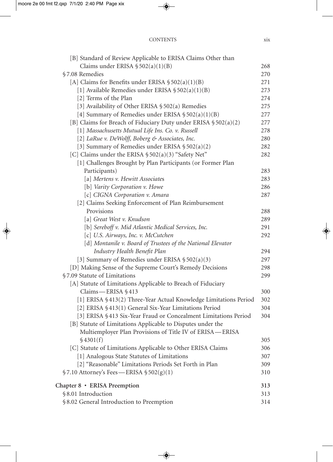| [B] Standard of Review Applicable to ERISA Claims Other than                             |            |
|------------------------------------------------------------------------------------------|------------|
| Claims under ERISA $$502(a)(1)(B)$                                                       | 268        |
| §7.08 Remedies                                                                           | 270        |
| [A] Claims for Benefits under ERISA $$502(a)(1)(B)$                                      | 271        |
| [1] Available Remedies under ERISA $\S 502(a)(1)(B)$                                     | 273        |
| [2] Terms of the Plan                                                                    | 274        |
| [3] Availability of Other ERISA § 502(a) Remedies                                        | 275        |
| [4] Summary of Remedies under ERISA $$502(a)(1)(B)$                                      | 277        |
| [B] Claims for Breach of Fiduciary Duty under ERISA § 502(a)(2)                          | 277        |
| [1] Massachusetts Mutual Life Ins. Co. v. Russell                                        | 278        |
| [2] LaRue v. DeWolff, Boberg & Associates, Inc.                                          | 280        |
| [3] Summary of Remedies under ERISA § 502(a)(2)                                          | 282        |
| [C] Claims under the ERISA § 502(a)(3) "Safety Net"                                      | 282        |
| [1] Challenges Brought by Plan Participants (or Former Plan                              |            |
| Participants)                                                                            | 283        |
| [a] Mertens v. Hewitt Associates                                                         | 283        |
| [b] Varity Corporation v. Howe                                                           | 286        |
| [c] CIGNA Corporation v. Amara                                                           | 287        |
| [2] Claims Seeking Enforcement of Plan Reimbursement                                     |            |
| Provisions                                                                               | 288        |
| [a] Great West v. Knudson                                                                | 289        |
| [b] Sereboff v. Mid Atlantic Medical Services, Inc.                                      | 291        |
| [c] U.S. Airways, Inc. v. McCutchen                                                      | 292        |
| [d] Montanile v. Board of Trustees of the National Elevator                              |            |
| Industry Health Benefit Plan                                                             | 294<br>297 |
| [3] Summary of Remedies under ERISA $$502(a)(3)$                                         |            |
| [D] Making Sense of the Supreme Court's Remedy Decisions<br>§7.09 Statute of Limitations | 298<br>299 |
| [A] Statute of Limitations Applicable to Breach of Fiduciary                             |            |
| Claims-ERISA §413                                                                        | 300        |
| [1] ERISA §413(2) Three-Year Actual Knowledge Limitations Period                         | 302        |
| [2] ERISA §413(1) General Six-Year Limitations Period                                    | 304        |
| [3] ERISA §413 Six-Year Fraud or Concealment Limitations Period                          | 304        |
| [B] Statute of Limitations Applicable to Disputes under the                              |            |
| Multiemployer Plan Provisions of Title IV of ERISA-ERISA                                 |            |
| \$4301(f)                                                                                | 305        |
| [C] Statute of Limitations Applicable to Other ERISA Claims                              | 306        |
| [1] Analogous State Statutes of Limitations                                              | 307        |
| [2] "Reasonable" Limitations Periods Set Forth in Plan                                   | 309        |
| $$7.10$ Attorney's Fees - ERISA $$502(g)(1)$                                             | 310        |
| Chapter 8 • ERISA Preemption                                                             | 313        |
| §8.01 Introduction                                                                       | 313        |
| §8.02 General Introduction to Preemption                                                 | 314        |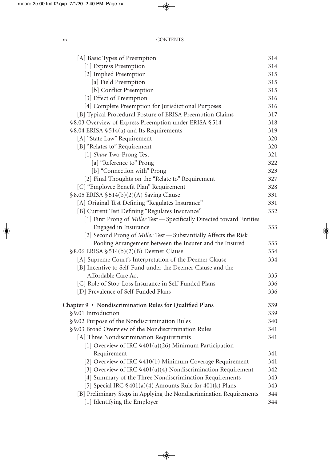| [A] Basic Types of Preemption                                        | 314 |
|----------------------------------------------------------------------|-----|
| [1] Express Preemption                                               | 314 |
| [2] Implied Preemption                                               | 315 |
| [a] Field Preemption                                                 | 315 |
| [b] Conflict Preemption                                              | 315 |
| [3] Effect of Preemption                                             | 316 |
| [4] Complete Preemption for Jurisdictional Purposes                  | 316 |
| [B] Typical Procedural Posture of ERISA Preemption Claims            | 317 |
| §8.03 Overview of Express Preemption under ERISA §514                | 318 |
| §8.04 ERISA §514(a) and Its Requirements                             | 319 |
| [A] "State Law" Requirement                                          | 320 |
| [B] "Relates to" Requirement                                         | 320 |
| [1] Shaw Two-Prong Test                                              | 321 |
| [a] "Reference to" Prong                                             | 322 |
| [b] "Connection with" Prong                                          | 323 |
| [2] Final Thoughts on the "Relate to" Requirement                    | 327 |
| [C] "Employee Benefit Plan" Requirement                              | 328 |
| § 8.05 ERISA § 514(b)(2)(A) Saving Clause                            | 331 |
| [A] Original Test Defining "Regulates Insurance"                     | 331 |
| [B] Current Test Defining "Regulates Insurance"                      | 332 |
| [1] First Prong of Miller Test-Specifically Directed toward Entities |     |
| Engaged in Insurance                                                 | 333 |
| [2] Second Prong of Miller Test-Substantially Affects the Risk       |     |
| Pooling Arrangement between the Insurer and the Insured              | 333 |
| § 8.06 ERISA § 514(b)(2)(B) Deemer Clause                            | 334 |
| [A] Supreme Court's Interpretation of the Deemer Clause              | 334 |
| [B] Incentive to Self-Fund under the Deemer Clause and the           |     |
| Affordable Care Act                                                  | 335 |
| [C] Role of Stop-Loss Insurance in Self-Funded Plans                 | 336 |
| [D] Prevalence of Self-Funded Plans                                  | 336 |
| Chapter 9 • Nondiscrimination Rules for Qualified Plans              | 339 |
| §9.01 Introduction                                                   | 339 |
| §9.02 Purpose of the Nondiscrimination Rules                         | 340 |
| §9.03 Broad Overview of the Nondiscrimination Rules                  | 341 |
| [A] Three Nondiscrimination Requirements                             | 341 |
| [1] Overview of IRC $$401(a)(26)$ Minimum Participation              |     |
| Requirement                                                          | 341 |
| [2] Overview of IRC §410(b) Minimum Coverage Requirement             | 341 |
| [3] Overview of IRC $$401(a)(4)$ Nondiscrimination Requirement       | 342 |
| [4] Summary of the Three Nondiscrimination Requirements              | 343 |
| [5] Special IRC $$401(a)(4)$ Amounts Rule for $401(k)$ Plans         | 343 |
| [B] Preliminary Steps in Applying the Nondiscrimination Requirements | 344 |
| [1] Identifying the Employer                                         | 344 |
|                                                                      |     |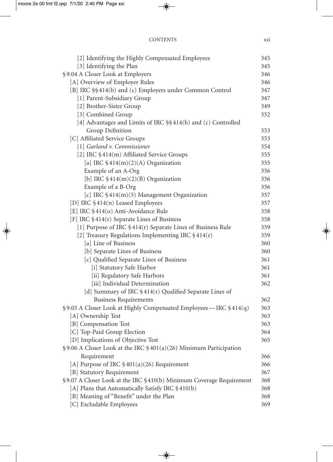#### CONTENTS xxi

| [2] Identifying the Highly Compensated Employees                    | 345 |
|---------------------------------------------------------------------|-----|
| [3] Identifying the Plan                                            | 345 |
| §9.04 A Closer Look at Employers                                    | 346 |
| [A] Overview of Employer Rules                                      | 346 |
| [B] IRC §§414(b) and (c) Employers under Common Control             | 347 |
| [1] Parent-Subsidiary Group                                         | 347 |
| [2] Brother-Sister Group                                            | 349 |
| [3] Combined Group                                                  | 352 |
| [4] Advantages and Limits of IRC §§414(b) and (c) Controlled        |     |
| Group Definition                                                    | 353 |
| [C] Affiliated Service Groups                                       | 353 |
| [1] Garland v. Commissioner                                         | 354 |
| [2] IRC §414(m) Affiliated Service Groups                           | 355 |
| [a] IRC $$414(m)(2)(A)$ Organization                                | 355 |
| Example of an A-Org                                                 | 356 |
| [b] IRC $$414(m)(2)(B)$ Organization                                | 356 |
| Example of a B-Org                                                  | 356 |
| [c] IRC §414(m)(5) Management Organization                          | 357 |
| [D] IRC §414(n) Leased Employees                                    | 357 |
| [E] IRC §414(o) Anti-Avoidance Rule                                 | 358 |
| [F] IRC §414(r) Separate Lines of Business                          | 358 |
| [1] Purpose of IRC §414(r) Separate Lines of Business Rule          | 359 |
| [2] Treasury Regulations Implementing IRC $$414(r)$                 | 359 |
| [a] Line of Business                                                | 360 |
| [b] Separate Lines of Business                                      | 360 |
| [c] Qualified Separate Lines of Business                            | 361 |
| [i] Statutory Safe Harbor                                           | 361 |
| [ii] Regulatory Safe Harbors                                        | 361 |
| [iii] Individual Determination                                      | 362 |
| [d] Summary of IRC §414(r) Qualified Separate Lines of              |     |
| <b>Business Requirements</b>                                        | 362 |
| § 9.05 A Closer Look at Highly Compensated Employees-IRC § 414(q)   | 363 |
| [A] Ownership Test                                                  | 363 |
| [B] Compensation Test                                               | 363 |
| [C] Top-Paid Group Election                                         | 364 |
| [D] Implications of Objective Test                                  | 365 |
| §9.06 A Closer Look at the IRC §401(a)(26) Minimum Participation    |     |
| Requirement                                                         | 366 |
| [A] Purpose of IRC $$401(a)(26)$ Requirement                        | 366 |
| [B] Statutory Requirement                                           | 367 |
| §9.07 A Closer Look at the IRC §410(b) Minimum Coverage Requirement | 368 |
| [A] Plans that Automatically Satisfy IRC §410(b)                    | 368 |
| [B] Meaning of "Benefit" under the Plan                             | 368 |
| [C] Excludable Employees                                            | 369 |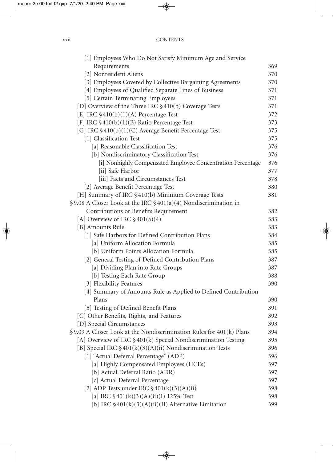| <b>XX11</b> | <b>CONTENTS</b> |
|-------------|-----------------|
|             |                 |

| [1] Employees Who Do Not Satisfy Minimum Age and Service            |     |
|---------------------------------------------------------------------|-----|
| Requirements                                                        | 369 |
| [2] Nonresident Aliens                                              | 370 |
| [3] Employees Covered by Collective Bargaining Agreements           | 370 |
| [4] Employees of Qualified Separate Lines of Business               | 371 |
| [5] Certain Terminating Employees                                   | 371 |
| [D] Overview of the Three IRC §410(b) Coverage Tests                | 371 |
| [E] IRC $$410(b)(1)(A)$ Percentage Test                             | 372 |
| [F] IRC $$410(b)(1)(B)$ Ratio Percentage Test                       | 373 |
| [G] IRC §410(b)(1)(C) Average Benefit Percentage Test               | 375 |
| [1] Classification Test                                             | 375 |
| [a] Reasonable Classification Test                                  | 376 |
| [b] Nondiscriminatory Classification Test                           | 376 |
| [i] Nonhighly Compensated Employee Concentration Percentage         | 376 |
| [ii] Safe Harbor                                                    | 377 |
| [iii] Facts and Circumstances Test                                  | 378 |
| [2] Average Benefit Percentage Test                                 | 380 |
| [H] Summary of IRC §410(b) Minimum Coverage Tests                   | 381 |
| §9.08 A Closer Look at the IRC §401(a)(4) Nondiscrimination in      |     |
| Contributions or Benefits Requirement                               | 382 |
| [A] Overview of IRC $$401(a)(4)$                                    | 383 |
| [B] Amounts Rule                                                    | 383 |
| [1] Safe Harbors for Defined Contribution Plans                     | 384 |
| [a] Uniform Allocation Formula                                      | 385 |
| [b] Uniform Points Allocation Formula                               | 385 |
| [2] General Testing of Defined Contribution Plans                   | 387 |
| [a] Dividing Plan into Rate Groups                                  | 387 |
| [b] Testing Each Rate Group                                         | 388 |
| [3] Flexibility Features                                            | 390 |
| [4] Summary of Amounts Rule as Applied to Defined Contribution      |     |
| Plans                                                               | 390 |
| [5] Testing of Defined Benefit Plans                                | 391 |
| [C] Other Benefits, Rights, and Features                            | 392 |
| [D] Special Circumstances                                           | 393 |
| §9.09 A Closer Look at the Nondiscrimination Rules for 401(k) Plans | 394 |
| [A] Overview of IRC §401(k) Special Nondiscrimination Testing       | 395 |
| [B] Special IRC $$401(k)(3)(A)(ii)$ Nondiscrimination Tests         | 396 |
| [1] "Actual Deferral Percentage" (ADP)                              | 396 |
| [a] Highly Compensated Employees (HCEs)                             | 397 |
| [b] Actual Deferral Ratio (ADR)                                     | 397 |
| [c] Actual Deferral Percentage                                      | 397 |
| [2] ADP Tests under IRC $\$401(k)(3)(A)(ii)$                        | 398 |
| [a] IRC $$401(k)(3)(A)(ii)(I) 125%$ Test                            | 398 |
| [b] IRC §401(k)(3)(A)(ii)(II) Alternative Limitation                | 399 |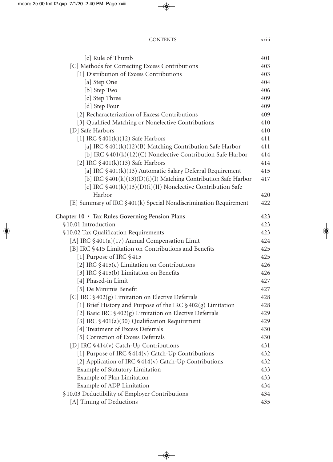#### CONTENTS

| [c] Rule of Thumb                                                | 401 |
|------------------------------------------------------------------|-----|
| [C] Methods for Correcting Excess Contributions                  | 403 |
| [1] Distribution of Excess Contributions                         | 403 |
| [a] Step One                                                     | 404 |
| [b] Step Two                                                     | 406 |
| [c] Step Three                                                   | 409 |
| [d] Step Four                                                    | 409 |
| [2] Recharacterization of Excess Contributions                   | 409 |
| [3] Qualified Matching or Nonelective Contributions              | 410 |
| [D] Safe Harbors                                                 | 410 |
| [1] IRC $$401(k)(12)$ Safe Harbors                               | 411 |
| [a] IRC $$401(k)(12)(B)$ Matching Contribution Safe Harbor       | 411 |
| [b] IRC $$401(k)(12)(C)$ Nonelective Contribution Safe Harbor    | 414 |
| [2] IRC $$401(k)(13)$ Safe Harbors                               | 414 |
| [a] IRC $$401(k)(13)$ Automatic Salary Deferral Requirement      | 415 |
| [b] IRC $$401(k)(13)(D)(i)(I)$ Matching Contribution Safe Harbor | 417 |
| [c] IRC $$401(k)(13)(D)(i)(II)$ Nonelective Contribution Safe    |     |
| Harbor                                                           | 420 |
| [E] Summary of IRC §401(k) Special Nondiscrimination Requirement | 422 |
| Chapter 10 • Tax Rules Governing Pension Plans                   | 423 |
| §10.01 Introduction                                              | 423 |
| §10.02 Tax Qualification Requirements                            | 423 |
| [A] IRC $$401(a)(17)$ Annual Compensation Limit                  | 424 |
| [B] IRC §415 Limitation on Contributions and Benefits            | 425 |
| [1] Purpose of IRC §415                                          | 425 |
| [2] IRC $$415(c)$ Limitation on Contributions                    | 426 |
| [3] IRC §415(b) Limitation on Benefits                           | 426 |
| [4] Phased-in Limit                                              | 427 |
| [5] De Minimis Benefit                                           | 427 |
| [C] IRC §402(g) Limitation on Elective Deferrals                 | 428 |
| [1] Brief History and Purpose of the IRC $$402(g)$ Limitation    | 428 |
| [2] Basic IRC §402(g) Limitation on Elective Deferrals           | 429 |
| [3] IRC $$401(a)(30)$ Qualification Requirement                  | 429 |
| [4] Treatment of Excess Deferrals                                | 430 |
| [5] Correction of Excess Deferrals                               | 430 |
| [D] IRC §414(v) Catch-Up Contributions                           | 431 |
| [1] Purpose of IRC §414(v) Catch-Up Contributions                | 432 |
| [2] Application of IRC §414(v) Catch-Up Contributions            | 432 |
| Example of Statutory Limitation                                  | 433 |
| Example of Plan Limitation                                       | 433 |
| Example of ADP Limitation                                        | 434 |
| §10.03 Deductibility of Employer Contributions                   | 434 |
| [A] Timing of Deductions                                         | 435 |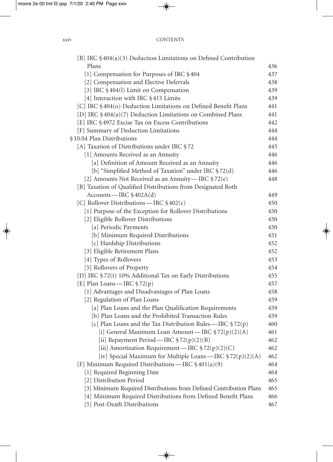#### xxiv CONTENTS

| [B] IRC $\$404(a)(3)$ Deduction Limitations on Defined Contribution |     |
|---------------------------------------------------------------------|-----|
| Plans                                                               | 436 |
| [1] Compensation for Purposes of IRC §404                           | 437 |
| [2] Compensation and Elective Deferrals                             | 438 |
| [3] IRC §404(l) Limit on Compensation                               | 439 |
| [4] Interaction with IRC §415 Limits                                | 439 |
| [C] IRC §404(o) Deduction Limitations on Defined Benefit Plans      | 441 |
| [D] IRC §404(a)(7) Deduction Limitations on Combined Plans          | 441 |
| [E] IRC §4972 Excise Tax on Excess Contributions                    | 442 |
| [F] Summary of Deduction Limitations                                | 444 |
| §10.04 Plan Distributions                                           | 444 |
| [A] Taxation of Distributions under IRC §72                         | 445 |
| [1] Amounts Received as an Annuity                                  | 446 |
| [a] Definition of Amount Received as an Annuity                     | 446 |
| [b] "Simplified Method of Taxation" under IRC §72(d)                | 446 |
| [2] Amounts Not Received as an Annuity-IRC §72(e)                   | 448 |
| [B] Taxation of Qualified Distributions from Designated Roth        |     |
| Accounts - IRC $$402A(d)$                                           | 449 |
| [C] Rollover Distributions - IRC §402(c)                            | 450 |
| [1] Purpose of the Exception for Rollover Distributions             | 450 |
| [2] Eligible Rollover Distributions                                 | 450 |
| [a] Periodic Payments                                               | 450 |
| [b] Minimum Required Distributions                                  | 451 |
| [c] Hardship Distributions                                          | 452 |
| [3] Eligible Retirement Plans                                       | 452 |
| [4] Types of Rollovers                                              | 453 |
| [5] Rollovers of Property                                           | 454 |
| [D] IRC §72(t) 10% Additional Tax on Early Distributions            | 455 |
| [E] Plan Loans — IRC $$72(p)$                                       | 457 |
| [1] Advantages and Disadvantages of Plan Loans                      | 458 |
| [2] Regulation of Plan Loans                                        | 459 |
| [a] Plan Loans and the Plan Qualification Requirements              | 459 |
| [b] Plan Loans and the Prohibited Transaction Rules                 | 459 |
| [c] Plan Loans and the Tax Distribution Rules—IRC $$72(p)$          | 460 |
| [i] General Maximum Loan Amount—IRC §72(p)(2)(A)                    | 461 |
| [ii] Repayment Period—IRC $$72(p)(2)(B)$                            | 462 |
| [iii] Amortization Requirement-IRC §72(p)(2)(C)                     | 462 |
| [iv] Special Maximum for Multiple Loans—IRC $\sqrt{72(p)(2)}$ (A)   | 462 |
| [F] Minimum Required Distributions-IRC §401(a)(9)                   | 464 |
| [1] Required Beginning Date                                         | 464 |
| [2] Distribution Period                                             | 465 |
| [3] Minimum Required Distributions from Defined Contribution Plans  | 465 |
| [4] Minimum Required Distributions from Defined Benefit Plans       | 466 |
| [5] Post-Death Distributions                                        | 467 |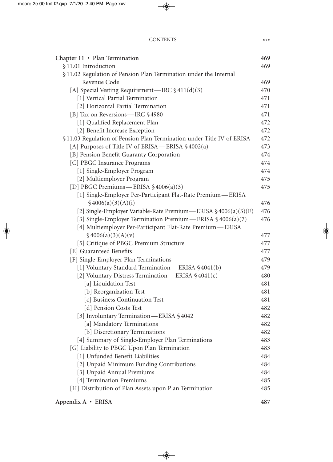| Chapter $11 \cdot$ Plan Termination                                   | 469 |
|-----------------------------------------------------------------------|-----|
| §11.01 Introduction                                                   | 469 |
| §11.02 Regulation of Pension Plan Termination under the Internal      |     |
| Revenue Code                                                          | 469 |
| [A] Special Vesting Requirement—IRC §411(d)(3)                        | 470 |
| [1] Vertical Partial Termination                                      | 471 |
| [2] Horizontal Partial Termination                                    | 471 |
| [B] Tax on Reversions - IRC § 4980                                    | 471 |
| [1] Qualified Replacement Plan                                        | 472 |
| [2] Benefit Increase Exception                                        | 472 |
| §11.03 Regulation of Pension Plan Termination under Title IV of ERISA | 472 |
| [A] Purposes of Title IV of ERISA—ERISA §4002(a)                      | 473 |
| [B] Pension Benefit Guaranty Corporation                              | 474 |
| [C] PBGC Insurance Programs                                           | 474 |
| [1] Single-Employer Program                                           | 474 |
| [2] Multiemployer Program                                             | 475 |
| [D] PBGC Premiums-ERISA §4006(a)(3)                                   | 475 |
| [1] Single-Employer Per-Participant Flat-Rate Premium-ERISA           |     |
| $\frac{\sqrt{4006(a)(3)(A)(i)}}{2}$                                   | 476 |
| [2] Single-Employer Variable-Rate Premium—ERISA §4006(a)(3)(E)        | 476 |
| [3] Single-Employer Termination Premium—ERISA §4006(a)(7)             | 476 |
| [4] Multiemployer Per-Participant Flat-Rate Premium-ERISA             |     |
| $\frac{6}{9}4006(a)(3)(A)(v)$                                         | 477 |
| [5] Critique of PBGC Premium Structure                                | 477 |
| [E] Guaranteed Benefits                                               | 477 |
| [F] Single-Employer Plan Terminations                                 | 479 |
| [1] Voluntary Standard Termination - ERISA §4041(b)                   | 479 |
| [2] Voluntary Distress Termination—ERISA §4041(c)                     | 480 |
| [a] Liquidation Test                                                  | 481 |
| [b] Reorganization Test                                               | 481 |
| [c] Business Continuation Test                                        | 481 |
| [d] Pension Costs Test                                                | 482 |
| [3] Involuntary Termination - ERISA §4042                             | 482 |
| [a] Mandatory Terminations                                            | 482 |
| [b] Discretionary Terminations                                        | 482 |
| [4] Summary of Single-Employer Plan Terminations                      | 483 |
| [G] Liability to PBGC Upon Plan Termination                           | 483 |
| [1] Unfunded Benefit Liabilities                                      | 484 |
| [2] Unpaid Minimum Funding Contributions                              | 484 |
| [3] Unpaid Annual Premiums                                            | 484 |
| [4] Termination Premiums                                              | 485 |
| [H] Distribution of Plan Assets upon Plan Termination                 | 485 |
|                                                                       |     |

**Appendix A • ERISA 487**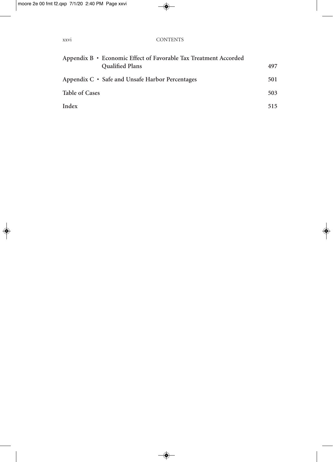| Appendix B • Economic Effect of Favorable Tax Treatment Accorded<br><b>Qualified Plans</b> | 497 |
|--------------------------------------------------------------------------------------------|-----|
| Appendix C • Safe and Unsafe Harbor Percentages                                            | 501 |
| <b>Table of Cases</b>                                                                      | 503 |
| Index                                                                                      | 515 |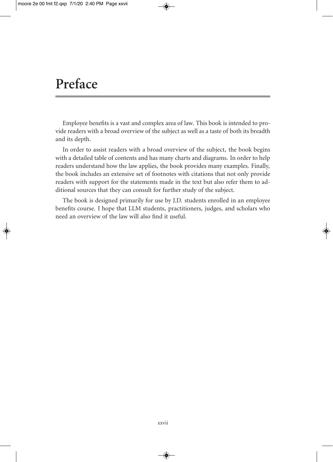### **Preface**

Employee benefits is a vast and complex area of law. This book is intended to provide readers with a broad overview of the subject as well as a taste of both its breadth and its depth.

In order to assist readers with a broad overview of the subject, the book begins with a detailed table of contents and has many charts and diagrams. In order to help readers understand how the law applies, the book provides many examples. Finally, the book includes an extensive set of footnotes with citations that not only provide readers with support for the statements made in the text but also refer them to additional sources that they can consult for further study of the subject.

The book is designed primarily for use by J.D. students enrolled in an employee benefits course. I hope that LLM students, practitioners, judges, and scholars who need an overview of the law will also find it useful.